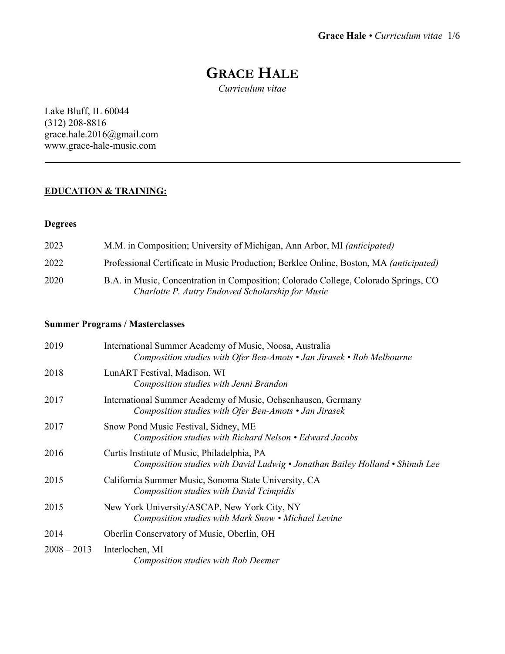# **GRACE HALE**

*Curriculum vitae*

Lake Bluff, IL 60044 (312) 208-8816 grace.hale.2016@gmail.com www.grace-hale-music.com

### **EDUCATION & TRAINING:**

#### **Degrees**

| 2023 | M.M. in Composition; University of Michigan, Ann Arbor, MI (anticipated)                                                                |
|------|-----------------------------------------------------------------------------------------------------------------------------------------|
| 2022 | Professional Certificate in Music Production; Berklee Online, Boston, MA (anticipated)                                                  |
| 2020 | B.A. in Music, Concentration in Composition; Colorado College, Colorado Springs, CO<br>Charlotte P. Autry Endowed Scholarship for Music |

### **Summer Programs / Masterclasses**

| 2019          | International Summer Academy of Music, Noosa, Australia<br>Composition studies with Ofer Ben-Amots • Jan Jirasek • Rob Melbourne |
|---------------|----------------------------------------------------------------------------------------------------------------------------------|
| 2018          | LunART Festival, Madison, WI<br>Composition studies with Jenni Brandon                                                           |
| 2017          | International Summer Academy of Music, Ochsenhausen, Germany<br>Composition studies with Ofer Ben-Amots • Jan Jirasek            |
| 2017          | Snow Pond Music Festival, Sidney, ME<br>Composition studies with Richard Nelson • Edward Jacobs                                  |
| 2016          | Curtis Institute of Music, Philadelphia, PA<br>Composition studies with David Ludwig • Jonathan Bailey Holland • Shinuh Lee      |
| 2015          | California Summer Music, Sonoma State University, CA<br><b>Composition studies with David Tcimpidis</b>                          |
| 2015          | New York University/ASCAP, New York City, NY<br>Composition studies with Mark Snow • Michael Levine                              |
| 2014          | Oberlin Conservatory of Music, Oberlin, OH                                                                                       |
| $2008 - 2013$ | Interlochen, MI<br>Composition studies with Rob Deemer                                                                           |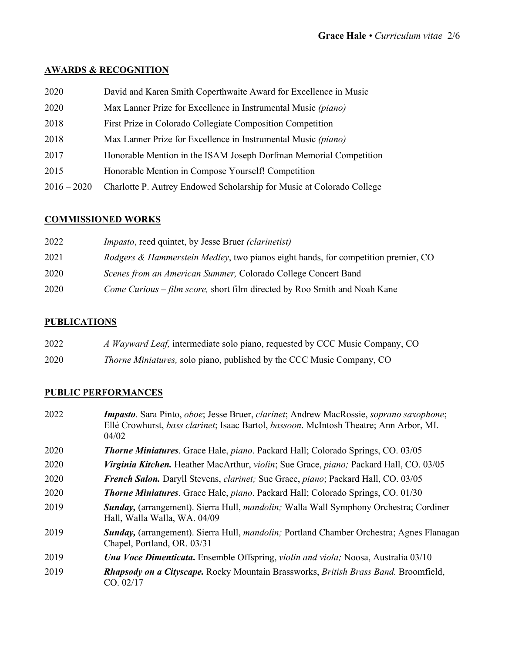### **AWARDS & RECOGNITION**

- David and Karen Smith Coperthwaite Award for Excellence in Music
- Max Lanner Prize for Excellence in Instrumental Music *(piano)*
- First Prize in Colorado Collegiate Composition Competition
- Max Lanner Prize for Excellence in Instrumental Music *(piano)*
- Honorable Mention in the ISAM Joseph Dorfman Memorial Competition
- Honorable Mention in Compose Yourself! Competition
- 2016 2020 Charlotte P. Autrey Endowed Scholarship for Music at Colorado College

### **COMMISSIONED WORKS**

| 2022 | <i>Impasto</i> , reed quintet, by Jesse Bruer <i>(clarinetist)</i>                |
|------|-----------------------------------------------------------------------------------|
| 2021 | Rodgers & Hammerstein Medley, two pianos eight hands, for competition premier, CO |
| 2020 | Scenes from an American Summer, Colorado College Concert Band                     |
| 2020 | Come Curious – film score, short film directed by Roo Smith and Noah Kane         |

#### **PUBLICATIONS**

| 2022 | A Wayward Leaf, intermediate solo piano, requested by CCC Music Company, CO  |
|------|------------------------------------------------------------------------------|
| 2020 | <i>Thorne Miniatures,</i> solo piano, published by the CCC Music Company, CO |

#### **PUBLIC PERFORMANCES**

 *Impasto*. Sara Pinto, *oboe*; Jesse Bruer, *clarinet*; Andrew MacRossie, *soprano saxophone*; Ellé Crowhurst, *bass clarinet*; Isaac Bartol, *bassoon*. McIntosh Theatre; Ann Arbor, MI. 04/02 *Thorne Miniatures*. Grace Hale, *piano*. Packard Hall; Colorado Springs, CO. 03/05 *Virginia Kitchen.* Heather MacArthur, *violin*; Sue Grace, *piano;* Packard Hall, CO. 03/05 *French Salon.* Daryll Stevens, *clarinet;* Sue Grace, *piano*; Packard Hall, CO. 03/05 *Thorne Miniatures*. Grace Hale, *piano*. Packard Hall; Colorado Springs, CO. 01/30 *Sunday,* (arrangement). Sierra Hull, *mandolin;* Walla Wall Symphony Orchestra; Cordiner Hall, Walla Walla, WA. 04/09 *Sunday,* (arrangement). Sierra Hull, *mandolin;* Portland Chamber Orchestra; Agnes Flanagan Chapel, Portland, OR. 03/31 *Una Voce Dimenticata***.** Ensemble Offspring, *violin and viola;* Noosa, Australia 03/10 *Rhapsody on a Cityscape.* Rocky Mountain Brassworks, *British Brass Band.* Broomfield, CO. 02/17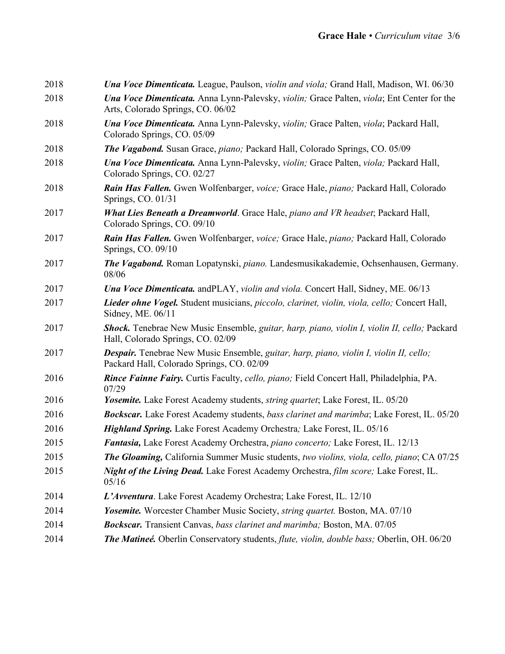| 2018 | <b>Una Voce Dimenticata.</b> League, Paulson, <i>violin and viola</i> ; Grand Hall, Madison, WI. 06/30                                |
|------|---------------------------------------------------------------------------------------------------------------------------------------|
| 2018 | <b>Una Voce Dimenticata.</b> Anna Lynn-Palevsky, violin; Grace Palten, viola; Ent Center for the<br>Arts, Colorado Springs, CO. 06/02 |
| 2018 | Una Voce Dimenticata. Anna Lynn-Palevsky, violin; Grace Palten, viola; Packard Hall,<br>Colorado Springs, CO. 05/09                   |
| 2018 | The Vagabond. Susan Grace, piano; Packard Hall, Colorado Springs, CO. 05/09                                                           |
| 2018 | Una Voce Dimenticata. Anna Lynn-Palevsky, violin; Grace Palten, viola; Packard Hall,<br>Colorado Springs, CO. 02/27                   |
| 2018 | Rain Has Fallen. Gwen Wolfenbarger, voice; Grace Hale, piano; Packard Hall, Colorado<br>Springs, CO. 01/31                            |
| 2017 | What Lies Beneath a Dreamworld. Grace Hale, piano and VR headset; Packard Hall,<br>Colorado Springs, CO. 09/10                        |
| 2017 | Rain Has Fallen. Gwen Wolfenbarger, voice; Grace Hale, piano; Packard Hall, Colorado<br>Springs, CO. 09/10                            |
| 2017 | <b>The Vagabond.</b> Roman Lopatynski, piano. Landesmusikakademie, Ochsenhausen, Germany.<br>08/06                                    |
| 2017 | <b>Una Voce Dimenticata.</b> and PLAY, violin and viola. Concert Hall, Sidney, ME. 06/13                                              |
| 2017 | Lieder ohne Vogel. Student musicians, piccolo, clarinet, violin, viola, cello; Concert Hall,<br>Sidney, ME. 06/11                     |
| 2017 | Shock. Tenebrae New Music Ensemble, guitar, harp, piano, violin I, violin II, cello; Packard<br>Hall, Colorado Springs, CO. 02/09     |
| 2017 | Despair. Tenebrae New Music Ensemble, guitar, harp, piano, violin I, violin II, cello;<br>Packard Hall, Colorado Springs, CO. 02/09   |
| 2016 | Rince Fainne Fairy. Curtis Faculty, cello, piano; Field Concert Hall, Philadelphia, PA.<br>07/29                                      |
| 2016 | Yosemite. Lake Forest Academy students, <i>string quartet</i> ; Lake Forest, IL. 05/20                                                |
| 2016 | <b>Bockscar.</b> Lake Forest Academy students, bass clarinet and marimba; Lake Forest, IL. 05/20                                      |
| 2016 | Highland Spring. Lake Forest Academy Orchestra; Lake Forest, IL. 05/16                                                                |
| 2015 | Fantasia, Lake Forest Academy Orchestra, piano concerto; Lake Forest, IL. 12/13                                                       |
| 2015 | <b>The Gloaming, California Summer Music students, two violins, viola, cello, piano; CA 07/25</b>                                     |
| 2015 | Night of the Living Dead. Lake Forest Academy Orchestra, film score; Lake Forest, IL.<br>05/16                                        |
| 2014 | L'Avventura. Lake Forest Academy Orchestra; Lake Forest, IL. 12/10                                                                    |
| 2014 | Yosemite. Worcester Chamber Music Society, string quartet. Boston, MA. 07/10                                                          |
| 2014 | Bockscar. Transient Canvas, bass clarinet and marimba; Boston, MA. 07/05                                                              |
| 2014 | The Matineé. Oberlin Conservatory students, flute, violin, double bass; Oberlin, OH. 06/20                                            |
|      |                                                                                                                                       |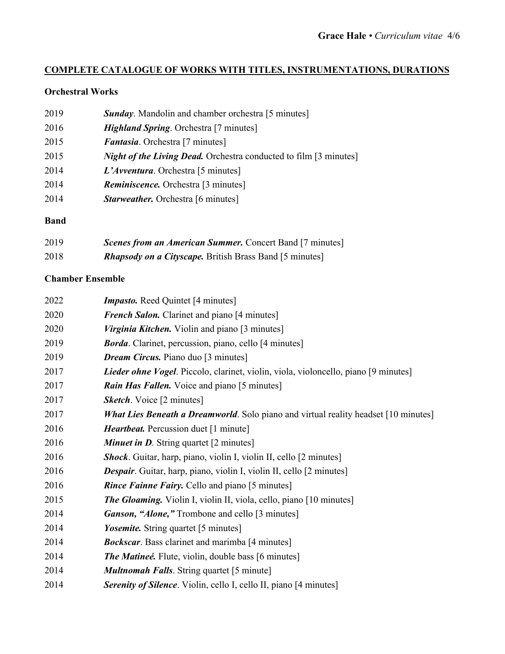## **COMPLETE CATALOGUE OF WORKS WITH TITLES, INSTRUMENTATIONS, DURATIONS**

### **Orchestral Works**

| 2019 | <b>Sunday.</b> Mandolin and chamber orchestra [5 minutes]                |
|------|--------------------------------------------------------------------------|
| 2016 | <i>Highland Spring.</i> Orchestra [7 minutes]                            |
| 2015 | <i>Fantasia.</i> Orchestra [7 minutes]                                   |
| 2015 | <i>Night of the Living Dead.</i> Orchestra conducted to film [3 minutes] |
| 2014 | L'Avventura. Orchestra [5 minutes]                                       |
| 2014 | <b>Reminiscence.</b> Orchestra [3 minutes]                               |
| 2014 | <b>Starweather.</b> Orchestra [6 minutes]                                |
|      |                                                                          |

### **Band**

| 2019 | <b>Scenes from an American Summer.</b> Concert Band [7 minutes] |
|------|-----------------------------------------------------------------|
| 2018 | <b>Rhapsody on a Cityscape.</b> British Brass Band [5 minutes]  |

### **Chamber Ensemble**

| <b>Impasto.</b> Reed Quintet [4 minutes]                                                   |
|--------------------------------------------------------------------------------------------|
| French Salon. Clarinet and piano [4 minutes]                                               |
| <i>Virginia Kitchen.</i> Violin and piano [3 minutes]                                      |
| <b>Borda</b> . Clarinet, percussion, piano, cello [4 minutes]                              |
| <b>Dream Circus.</b> Piano duo [3 minutes]                                                 |
| Lieder ohne Vogel. Piccolo, clarinet, violin, viola, violoncello, piano [9 minutes]        |
| <b>Rain Has Fallen.</b> Voice and piano [5 minutes]                                        |
| <b>Sketch.</b> Voice [2 minutes]                                                           |
| <b>What Lies Beneath a Dreamworld.</b> Solo piano and virtual reality headset [10 minutes] |
| <i>Heartbeat.</i> Percussion duet [1 minute]                                               |
| <b>Minuet in D.</b> String quartet [2 minutes]                                             |
| <b>Shock</b> . Guitar, harp, piano, violin I, violin II, cello [2 minutes]                 |
| <b>Despair.</b> Guitar, harp, piano, violin I, violin II, cello [2 minutes]                |
| <i>Rince Fainne Fairy.</i> Cello and piano [5 minutes]                                     |
| <b>The Gloaming.</b> Violin I, violin II, viola, cello, piano [10 minutes]                 |
| <b>Ganson, "Alone,"</b> Trombone and cello [3 minutes]                                     |
| <i>Yosemite</i> . String quartet [5 minutes]                                               |
| <b>Bockscar</b> . Bass clarinet and marimba [4 minutes]                                    |
| <b>The Matineé.</b> Flute, violin, double bass [6 minutes]                                 |
| <b>Multnomah Falls.</b> String quartet [5 minute]                                          |
| <b>Serenity of Silence</b> . Violin, cello I, cello II, piano [4 minutes]                  |
|                                                                                            |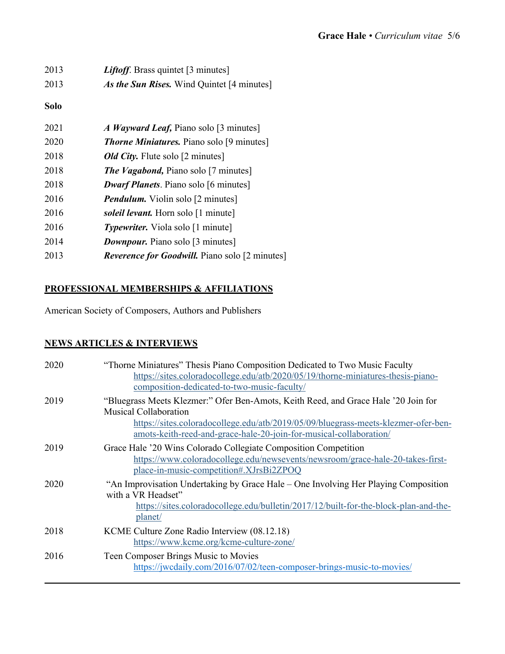| 2013 | <i>Liftoff</i> . Brass quintet [3 minutes]            |
|------|-------------------------------------------------------|
| 2013 | As the Sun Rises. Wind Quintet [4 minutes]            |
| Solo |                                                       |
| 2021 | <i>A Wayward Leaf, Piano solo</i> [3 minutes]         |
| 2020 | <b>Thorne Miniatures.</b> Piano solo [9 minutes]      |
| 2018 | <b>Old City.</b> Flute solo [2 minutes]               |
| 2018 | <b>The Vagabond, Piano solo</b> [7 minutes]           |
| 2018 | <b>Dwarf Planets.</b> Piano solo [6 minutes]          |
| 2016 | <b>Pendulum.</b> Violin solo [2 minutes]              |
| 2016 | soleil levant. Horn solo [1 minute]                   |
| 2016 | <i>Typewriter.</i> Viola solo [1 minute]              |
| 2014 | <b>Downpour.</b> Piano solo [3 minutes]               |
| 2013 | <b>Reverence for Goodwill.</b> Piano solo [2 minutes] |
|      |                                                       |

### **PROFESSIONAL MEMBERSHIPS & AFFILIATIONS**

American Society of Composers, Authors and Publishers

# **NEWS ARTICLES & INTERVIEWS**

| 2020 | "Thorne Miniatures" Thesis Piano Composition Dedicated to Two Music Faculty<br>https://sites.coloradocollege.edu/atb/2020/05/19/thorne-miniatures-thesis-piano-<br>composition-dedicated-to-two-music-faculty/                                                                 |
|------|--------------------------------------------------------------------------------------------------------------------------------------------------------------------------------------------------------------------------------------------------------------------------------|
| 2019 | "Bluegrass Meets Klezmer:" Ofer Ben-Amots, Keith Reed, and Grace Hale '20 Join for<br><b>Musical Collaboration</b><br>https://sites.coloradocollege.edu/atb/2019/05/09/bluegrass-meets-klezmer-ofer-ben-<br>amots-keith-reed-and-grace-hale-20-join-for-musical-collaboration/ |
| 2019 | Grace Hale '20 Wins Colorado Collegiate Composition Competition<br>https://www.coloradocollege.edu/newsevents/newsroom/grace-hale-20-takes-first-<br>place-in-music-competition#.XJrsBi2ZPOQ                                                                                   |
| 2020 | "An Improvisation Undertaking by Grace Hale – One Involving Her Playing Composition<br>with a VR Headset"<br>https://sites.coloradocollege.edu/bulletin/2017/12/built-for-the-block-plan-and-the-<br>planet/                                                                   |
| 2018 | KCME Culture Zone Radio Interview (08.12.18)<br>https://www.kcme.org/kcme-culture-zone/                                                                                                                                                                                        |
| 2016 | Teen Composer Brings Music to Movies<br>https://jwcdaily.com/2016/07/02/teen-composer-brings-music-to-movies/                                                                                                                                                                  |